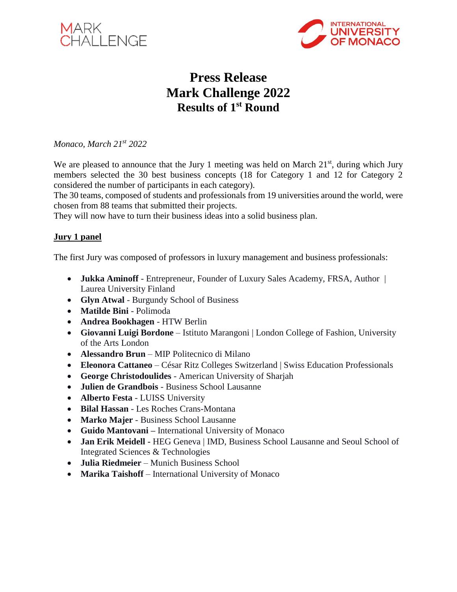



# **Press Release Mark Challenge 2022 Results of 1st Round**

*Monaco, March 21st 2022*

We are pleased to announce that the Jury 1 meeting was held on March  $21<sup>st</sup>$ , during which Jury members selected the 30 best business concepts (18 for Category 1 and 12 for Category 2 considered the number of participants in each category).

The 30 teams, composed of students and professionals from 19 universities around the world, were chosen from 88 teams that submitted their projects.

They will now have to turn their business ideas into a solid business plan.

#### **Jury 1 panel**

The first Jury was composed of professors in luxury management and business professionals:

- **Jukka Aminoff** Entrepreneur, Founder of Luxury Sales Academy, FRSA, Author | Laurea University Finland
- **Glyn Atwal** Burgundy School of Business
- **Matilde Bini** Polimoda
- **Andrea Bookhagen** HTW Berlin
- **Giovanni Luigi Bordone** Istituto Marangoni | London College of Fashion, University of the Arts London
- **Alessandro Brun** MIP Politecnico di Milano
- **Eleonora Cattaneo** César Ritz Colleges Switzerland | Swiss Education Professionals
- **George Christodoulides** American University of Sharjah
- **Julien de Grandbois** Business School Lausanne
- **Alberto Festa** LUISS University
- **Bilal Hassan** Les Roches Crans-Montana
- **Marko Majer** Business School Lausanne
- **Guido Mantovani –** International University of Monaco
- **Jan Erik Meidell -** HEG Geneva | IMD, Business School Lausanne and Seoul School of Integrated Sciences & Technologies
- **Julia Riedmeier** Munich Business School
- **Marika Taishoff** International University of Monaco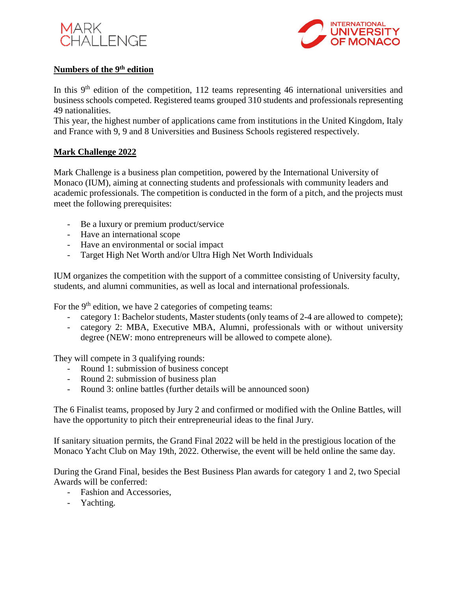



#### **Numbers of the 9th edition**

In this  $9<sup>th</sup>$  edition of the competition, 112 teams representing 46 international universities and business schools competed. Registered teams grouped 310 students and professionals representing 49 nationalities.

This year, the highest number of applications came from institutions in the United Kingdom, Italy and France with 9, 9 and 8 Universities and Business Schools registered respectively.

#### **Mark Challenge 2022**

Mark Challenge is a business plan competition, powered by the International University of Monaco (IUM), aiming at connecting students and professionals with community leaders and academic professionals. The competition is conducted in the form of a pitch, and the projects must meet the following prerequisites:

- Be a luxury or premium product/service
- Have an international scope
- Have an environmental or social impact
- Target High Net Worth and/or Ultra High Net Worth Individuals

IUM organizes the competition with the support of a committee consisting of University faculty, students, and alumni communities, as well as local and international professionals.

For the 9<sup>th</sup> edition, we have 2 categories of competing teams:

- category 1: Bachelor students, Master students (only teams of 2-4 are allowed to compete);
- category 2: MBA, Executive MBA, Alumni, professionals with or without university degree (NEW: mono entrepreneurs will be allowed to compete alone).

They will compete in 3 qualifying rounds:

- Round 1: submission of business concept
- Round 2: submission of business plan
- Round 3: online battles (further details will be announced soon)

The 6 Finalist teams, proposed by Jury 2 and confirmed or modified with the Online Battles, will have the opportunity to pitch their entrepreneurial ideas to the final Jury.

If sanitary situation permits, the Grand Final 2022 will be held in the prestigious location of the Monaco Yacht Club on May 19th, 2022. Otherwise, the event will be held online the same day.

During the Grand Final, besides the Best Business Plan awards for category 1 and 2, two Special Awards will be conferred:

- Fashion and Accessories,
- Yachting.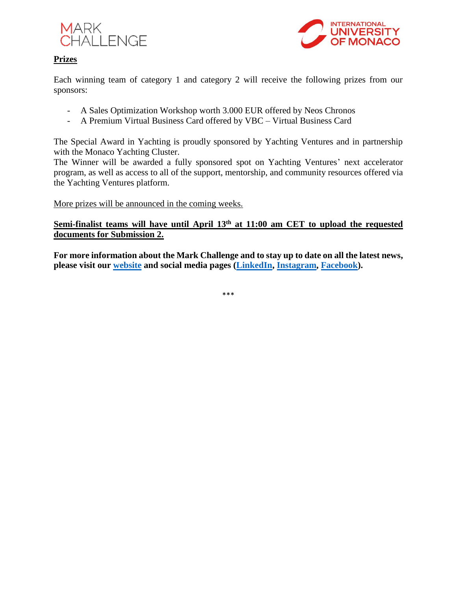



#### **Prizes**

Each winning team of category 1 and category 2 will receive the following prizes from our sponsors:

- A Sales Optimization Workshop worth 3.000 EUR offered by Neos Chronos
- A Premium Virtual Business Card offered by VBC Virtual Business Card

The Special Award in Yachting is proudly sponsored by Yachting Ventures and in partnership with the Monaco Yachting Cluster.

The Winner will be awarded a fully sponsored spot on Yachting Ventures' next accelerator program, as well as access to all of the support, mentorship, and community resources offered via the Yachting Ventures platform.

More prizes will be announced in the coming weeks.

### Semi-finalist teams will have until April 13<sup>th</sup> at 11:00 am CET to upload the requested **documents for Submission 2.**

**For more information about the Mark Challenge and to stay up to date on all the latest news, please visit our [website](http://www.themarkchallenge.com/index.php) and social media pages [\(LinkedIn,](https://www.linkedin.com/in/the-mark-challenge-044522114/) [Instagram,](https://www.instagram.com/markchallenge/) [Facebook\)](https://www.facebook.com/themarkchallenge).**

\*\*\*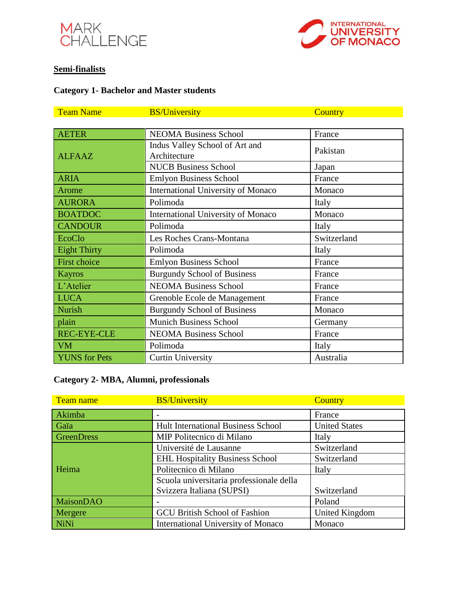



# **Semi-finalists**

# **Category 1- Bachelor and Master students**

| <b>Team Name</b>     | <b>BS/University</b>                      | <b>Country</b> |
|----------------------|-------------------------------------------|----------------|
|                      |                                           |                |
| <b>AETER</b>         | <b>NEOMA Business School</b>              | France         |
| <b>ALFAAZ</b>        | Indus Valley School of Art and            | Pakistan       |
|                      | Architecture                              |                |
|                      | <b>NUCB Business School</b>               | Japan          |
| <b>ARIA</b>          | <b>Emlyon Business School</b>             | France         |
| Arome                | <b>International University of Monaco</b> | Monaco         |
| <b>AURORA</b>        | Polimoda                                  | Italy          |
| <b>BOATDOC</b>       | <b>International University of Monaco</b> | Monaco         |
| <b>CANDOUR</b>       | Polimoda                                  | Italy          |
| <b>EcoClo</b>        | Les Roches Crans-Montana                  | Switzerland    |
| <b>Eight Thirty</b>  | Polimoda                                  | Italy          |
| <b>First choice</b>  | <b>Emlyon Business School</b>             | France         |
| <b>Kayros</b>        | <b>Burgundy School of Business</b>        | France         |
| L'Atelier            | <b>NEOMA Business School</b>              | France         |
| <b>LUCA</b>          | Grenoble Ecole de Management              | France         |
| <b>Nurish</b>        | <b>Burgundy School of Business</b>        | Monaco         |
| plain                | <b>Munich Business School</b>             | Germany        |
| <b>REC-EYE-CLE</b>   | <b>NEOMA Business School</b>              | France         |
| <b>VM</b>            | Polimoda                                  | Italy          |
| <b>YUNS</b> for Pets | <b>Curtin University</b>                  | Australia      |

# **Category 2- MBA, Alumni, professionals**

| Team name         | <b>BS/University</b>                      | Country              |
|-------------------|-------------------------------------------|----------------------|
| Akimba            |                                           | France               |
| Gaïa              | <b>Hult International Business School</b> | <b>United States</b> |
| <b>GreenDress</b> | MIP Politecnico di Milano                 | Italy                |
|                   | Université de Lausanne                    | Switzerland          |
|                   | <b>EHL Hospitality Business School</b>    | Switzerland          |
| Heima             | Politecnico di Milano                     | Italy                |
|                   | Scuola universitaria professionale della  |                      |
|                   | Svizzera Italiana (SUPSI)                 | Switzerland          |
| <b>MaisonDAO</b>  |                                           | Poland               |
| Mergere           | <b>GCU British School of Fashion</b>      | United Kingdom       |
| NiNi              | <b>International University of Monaco</b> | Monaco               |